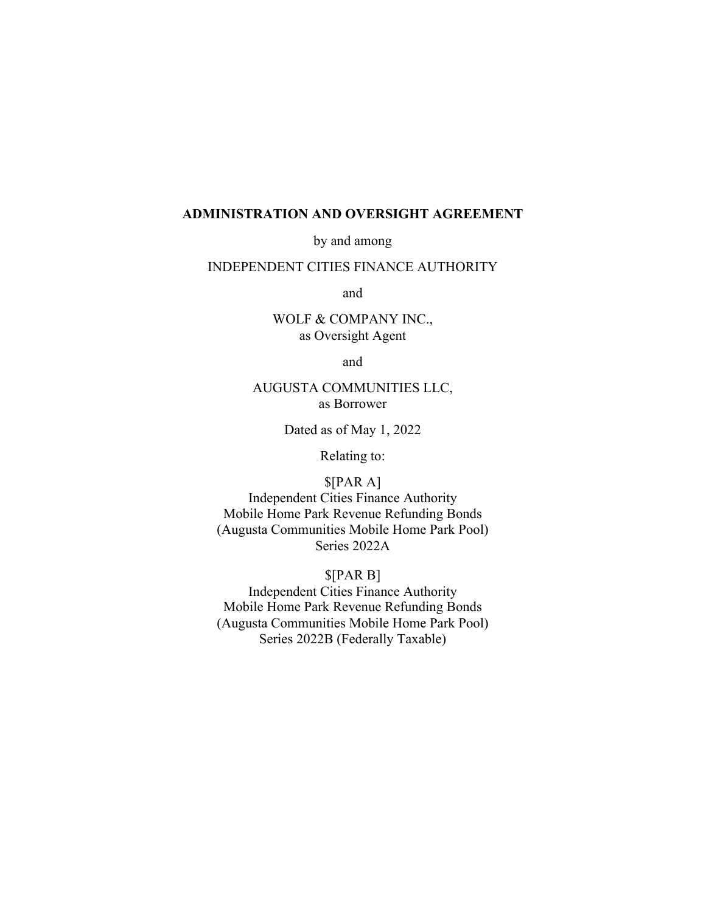#### **ADMINISTRATION AND OVERSIGHT AGREEMENT**

by and among

## INDEPENDENT CITIES FINANCE AUTHORITY

and

WOLF & COMPANY INC., as Oversight Agent

and

## AUGUSTA COMMUNITIES LLC, as Borrower

Dated as of May 1, 2022

Relating to:

\$[PAR A] Independent Cities Finance Authority Mobile Home Park Revenue Refunding Bonds (Augusta Communities Mobile Home Park Pool) Series 2022A

\$[PAR B] Independent Cities Finance Authority Mobile Home Park Revenue Refunding Bonds (Augusta Communities Mobile Home Park Pool) Series 2022B (Federally Taxable)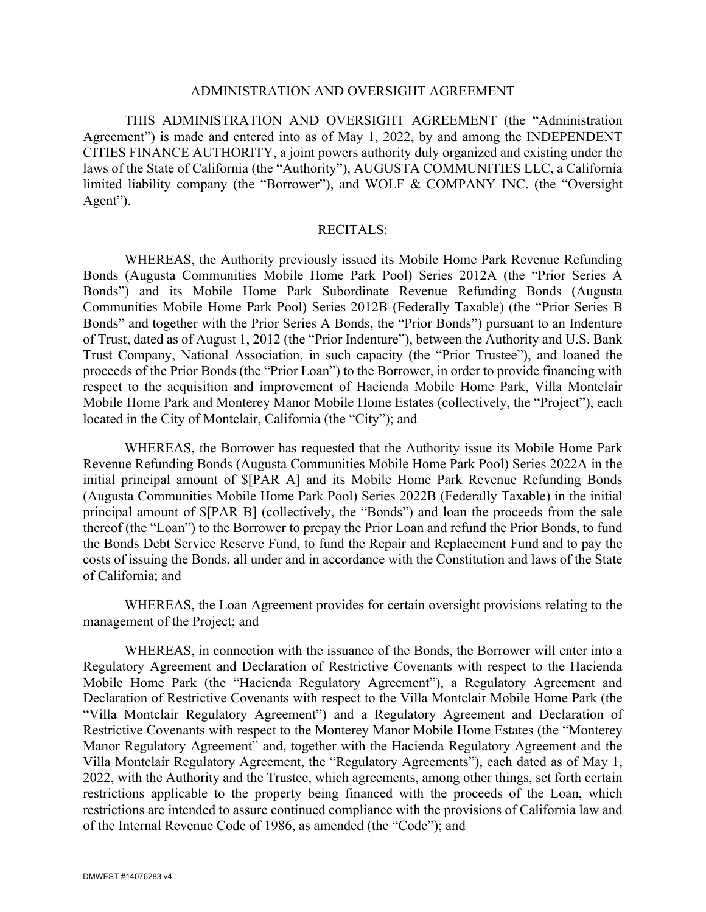### ADMINISTRATION AND OVERSIGHT AGREEMENT

THIS ADMINISTRATION AND OVERSIGHT AGREEMENT (the "Administration Agreement") is made and entered into as of May 1, 2022, by and among the INDEPENDENT CITIES FINANCE AUTHORITY, a joint powers authority duly organized and existing under the laws of the State of California (the "Authority"), AUGUSTA COMMUNITIES LLC, a California limited liability company (the "Borrower"), and WOLF & COMPANY INC. (the "Oversight Agent").

#### RECITALS:

WHEREAS, the Authority previously issued its Mobile Home Park Revenue Refunding Bonds (Augusta Communities Mobile Home Park Pool) Series 2012A (the "Prior Series A Bonds") and its Mobile Home Park Subordinate Revenue Refunding Bonds (Augusta Communities Mobile Home Park Pool) Series 2012B (Federally Taxable) (the "Prior Series B Bonds" and together with the Prior Series A Bonds, the "Prior Bonds") pursuant to an Indenture of Trust, dated as of August 1, 2012 (the "Prior Indenture"), between the Authority and U.S. Bank Trust Company, National Association, in such capacity (the "Prior Trustee"), and loaned the proceeds of the Prior Bonds (the "Prior Loan") to the Borrower, in order to provide financing with respect to the acquisition and improvement of Hacienda Mobile Home Park, Villa Montclair Mobile Home Park and Monterey Manor Mobile Home Estates (collectively, the "Project"), each located in the City of Montclair, California (the "City"); and

WHEREAS, the Borrower has requested that the Authority issue its Mobile Home Park Revenue Refunding Bonds (Augusta Communities Mobile Home Park Pool) Series 2022A in the initial principal amount of \$[PAR A] and its Mobile Home Park Revenue Refunding Bonds (Augusta Communities Mobile Home Park Pool) Series 2022B (Federally Taxable) in the initial principal amount of \$[PAR B] (collectively, the "Bonds") and loan the proceeds from the sale thereof (the "Loan") to the Borrower to prepay the Prior Loan and refund the Prior Bonds, to fund the Bonds Debt Service Reserve Fund, to fund the Repair and Replacement Fund and to pay the costs of issuing the Bonds, all under and in accordance with the Constitution and laws of the State of California; and

WHEREAS, the Loan Agreement provides for certain oversight provisions relating to the management of the Project; and

WHEREAS, in connection with the issuance of the Bonds, the Borrower will enter into a Regulatory Agreement and Declaration of Restrictive Covenants with respect to the Hacienda Mobile Home Park (the "Hacienda Regulatory Agreement"), a Regulatory Agreement and Declaration of Restrictive Covenants with respect to the Villa Montclair Mobile Home Park (the "Villa Montclair Regulatory Agreement") and a Regulatory Agreement and Declaration of Restrictive Covenants with respect to the Monterey Manor Mobile Home Estates (the "Monterey Manor Regulatory Agreement" and, together with the Hacienda Regulatory Agreement and the Villa Montclair Regulatory Agreement, the "Regulatory Agreements"), each dated as of May 1, 2022, with the Authority and the Trustee, which agreements, among other things, set forth certain restrictions applicable to the property being financed with the proceeds of the Loan, which restrictions are intended to assure continued compliance with the provisions of California law and of the Internal Revenue Code of 1986, as amended (the "Code"); and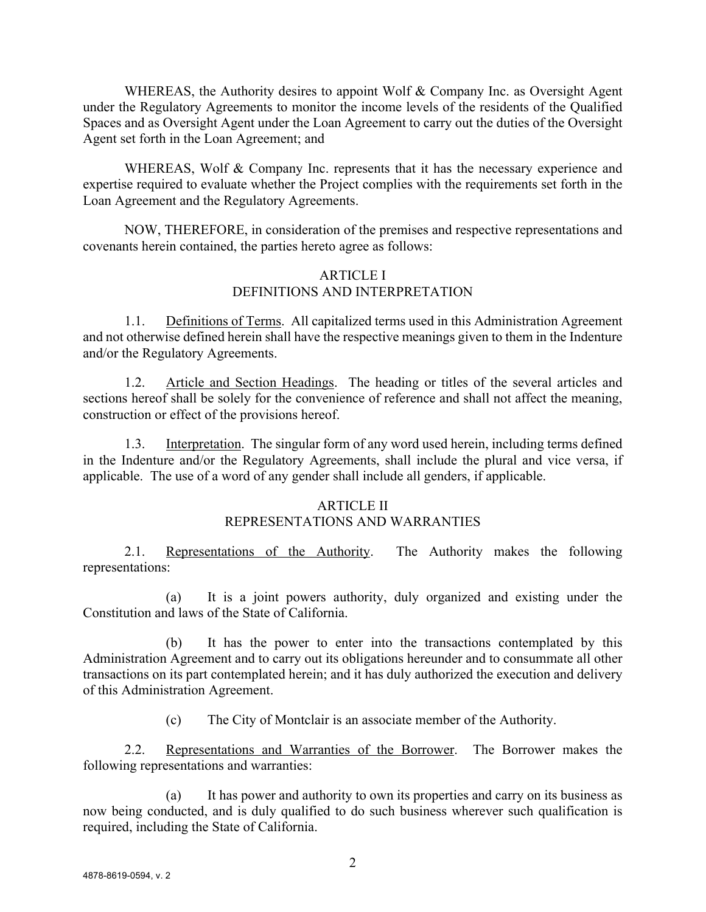WHEREAS, the Authority desires to appoint Wolf & Company Inc. as Oversight Agent under the Regulatory Agreements to monitor the income levels of the residents of the Qualified Spaces and as Oversight Agent under the Loan Agreement to carry out the duties of the Oversight Agent set forth in the Loan Agreement; and

WHEREAS, Wolf & Company Inc. represents that it has the necessary experience and expertise required to evaluate whether the Project complies with the requirements set forth in the Loan Agreement and the Regulatory Agreements.

NOW, THEREFORE, in consideration of the premises and respective representations and covenants herein contained, the parties hereto agree as follows:

## ARTICLE I DEFINITIONS AND INTERPRETATION

1.1. Definitions of Terms. All capitalized terms used in this Administration Agreement and not otherwise defined herein shall have the respective meanings given to them in the Indenture and/or the Regulatory Agreements.

1.2. Article and Section Headings. The heading or titles of the several articles and sections hereof shall be solely for the convenience of reference and shall not affect the meaning, construction or effect of the provisions hereof.

1.3. Interpretation. The singular form of any word used herein, including terms defined in the Indenture and/or the Regulatory Agreements, shall include the plural and vice versa, if applicable. The use of a word of any gender shall include all genders, if applicable.

# ARTICLE II

# REPRESENTATIONS AND WARRANTIES

2.1. Representations of the Authority. The Authority makes the following representations:

(a) It is a joint powers authority, duly organized and existing under the Constitution and laws of the State of California.

(b) It has the power to enter into the transactions contemplated by this Administration Agreement and to carry out its obligations hereunder and to consummate all other transactions on its part contemplated herein; and it has duly authorized the execution and delivery of this Administration Agreement.

(c) The City of Montclair is an associate member of the Authority.

2.2. Representations and Warranties of the Borrower. The Borrower makes the following representations and warranties:

(a) It has power and authority to own its properties and carry on its business as now being conducted, and is duly qualified to do such business wherever such qualification is required, including the State of California.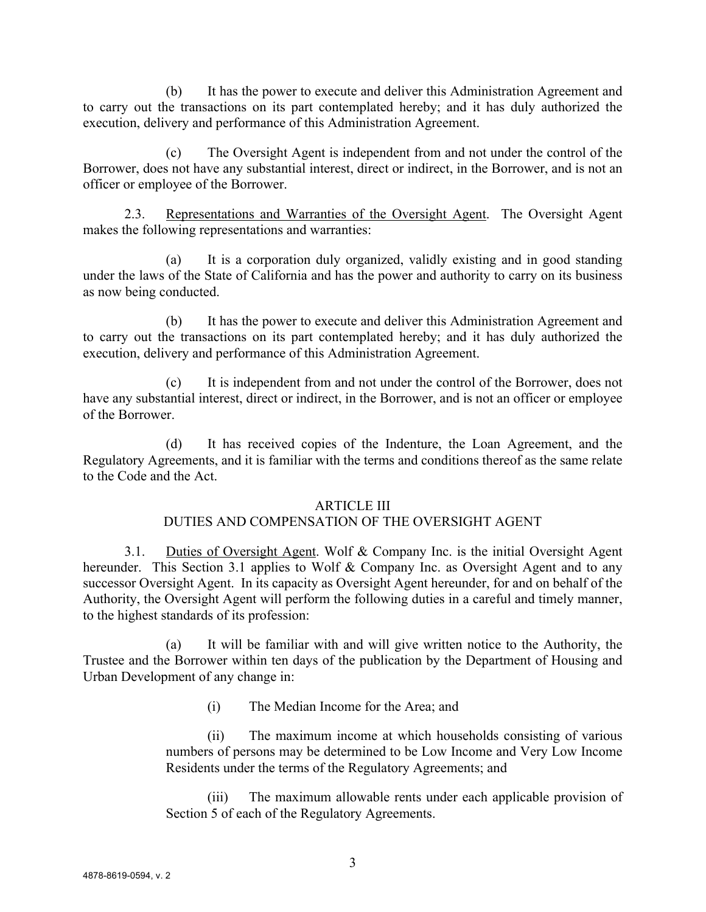(b) It has the power to execute and deliver this Administration Agreement and to carry out the transactions on its part contemplated hereby; and it has duly authorized the execution, delivery and performance of this Administration Agreement.

(c) The Oversight Agent is independent from and not under the control of the Borrower, does not have any substantial interest, direct or indirect, in the Borrower, and is not an officer or employee of the Borrower.

2.3. Representations and Warranties of the Oversight Agent. The Oversight Agent makes the following representations and warranties:

(a) It is a corporation duly organized, validly existing and in good standing under the laws of the State of California and has the power and authority to carry on its business as now being conducted.

(b) It has the power to execute and deliver this Administration Agreement and to carry out the transactions on its part contemplated hereby; and it has duly authorized the execution, delivery and performance of this Administration Agreement.

(c) It is independent from and not under the control of the Borrower, does not have any substantial interest, direct or indirect, in the Borrower, and is not an officer or employee of the Borrower.

(d) It has received copies of the Indenture, the Loan Agreement, and the Regulatory Agreements, and it is familiar with the terms and conditions thereof as the same relate to the Code and the Act.

## ARTICLE III

# DUTIES AND COMPENSATION OF THE OVERSIGHT AGENT

3.1. Duties of Oversight Agent. Wolf & Company Inc. is the initial Oversight Agent hereunder. This Section 3.1 applies to Wolf & Company Inc. as Oversight Agent and to any successor Oversight Agent. In its capacity as Oversight Agent hereunder, for and on behalf of the Authority, the Oversight Agent will perform the following duties in a careful and timely manner, to the highest standards of its profession:

(a) It will be familiar with and will give written notice to the Authority, the Trustee and the Borrower within ten days of the publication by the Department of Housing and Urban Development of any change in:

(i) The Median Income for the Area; and

(ii) The maximum income at which households consisting of various numbers of persons may be determined to be Low Income and Very Low Income Residents under the terms of the Regulatory Agreements; and

(iii) The maximum allowable rents under each applicable provision of Section 5 of each of the Regulatory Agreements.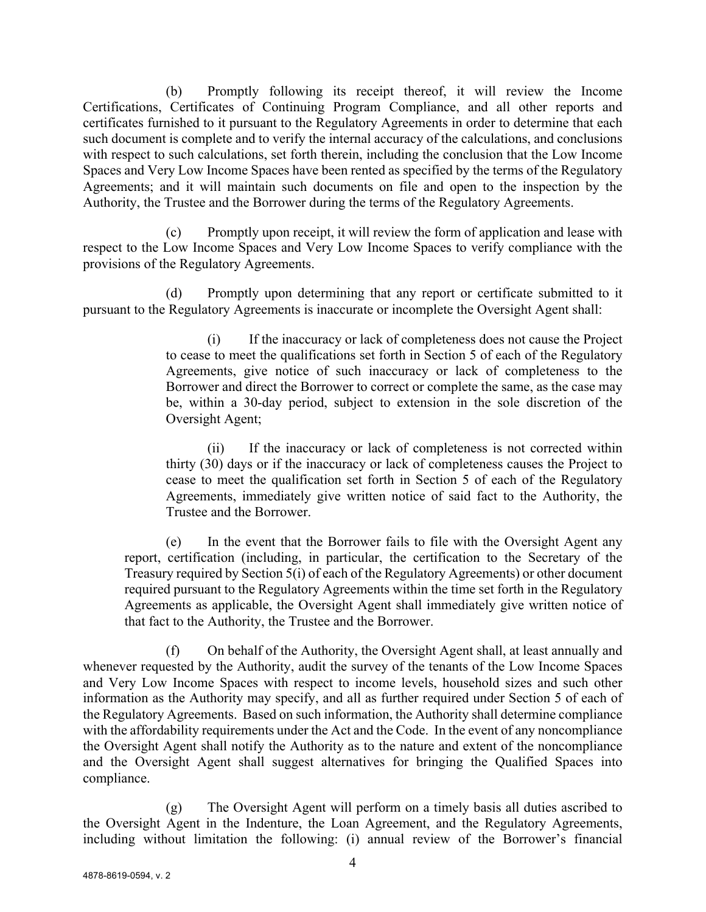(b) Promptly following its receipt thereof, it will review the Income Certifications, Certificates of Continuing Program Compliance, and all other reports and certificates furnished to it pursuant to the Regulatory Agreements in order to determine that each such document is complete and to verify the internal accuracy of the calculations, and conclusions with respect to such calculations, set forth therein, including the conclusion that the Low Income Spaces and Very Low Income Spaces have been rented as specified by the terms of the Regulatory Agreements; and it will maintain such documents on file and open to the inspection by the Authority, the Trustee and the Borrower during the terms of the Regulatory Agreements.

(c) Promptly upon receipt, it will review the form of application and lease with respect to the Low Income Spaces and Very Low Income Spaces to verify compliance with the provisions of the Regulatory Agreements.

(d) Promptly upon determining that any report or certificate submitted to it pursuant to the Regulatory Agreements is inaccurate or incomplete the Oversight Agent shall:

> (i) If the inaccuracy or lack of completeness does not cause the Project to cease to meet the qualifications set forth in Section 5 of each of the Regulatory Agreements, give notice of such inaccuracy or lack of completeness to the Borrower and direct the Borrower to correct or complete the same, as the case may be, within a 30-day period, subject to extension in the sole discretion of the Oversight Agent;

> (ii) If the inaccuracy or lack of completeness is not corrected within thirty (30) days or if the inaccuracy or lack of completeness causes the Project to cease to meet the qualification set forth in Section 5 of each of the Regulatory Agreements, immediately give written notice of said fact to the Authority, the Trustee and the Borrower.

(e) In the event that the Borrower fails to file with the Oversight Agent any report, certification (including, in particular, the certification to the Secretary of the Treasury required by Section 5(i) of each of the Regulatory Agreements) or other document required pursuant to the Regulatory Agreements within the time set forth in the Regulatory Agreements as applicable, the Oversight Agent shall immediately give written notice of that fact to the Authority, the Trustee and the Borrower.

(f) On behalf of the Authority, the Oversight Agent shall, at least annually and whenever requested by the Authority, audit the survey of the tenants of the Low Income Spaces and Very Low Income Spaces with respect to income levels, household sizes and such other information as the Authority may specify, and all as further required under Section 5 of each of the Regulatory Agreements. Based on such information, the Authority shall determine compliance with the affordability requirements under the Act and the Code. In the event of any noncompliance the Oversight Agent shall notify the Authority as to the nature and extent of the noncompliance and the Oversight Agent shall suggest alternatives for bringing the Qualified Spaces into compliance.

(g) The Oversight Agent will perform on a timely basis all duties ascribed to the Oversight Agent in the Indenture, the Loan Agreement, and the Regulatory Agreements, including without limitation the following: (i) annual review of the Borrower's financial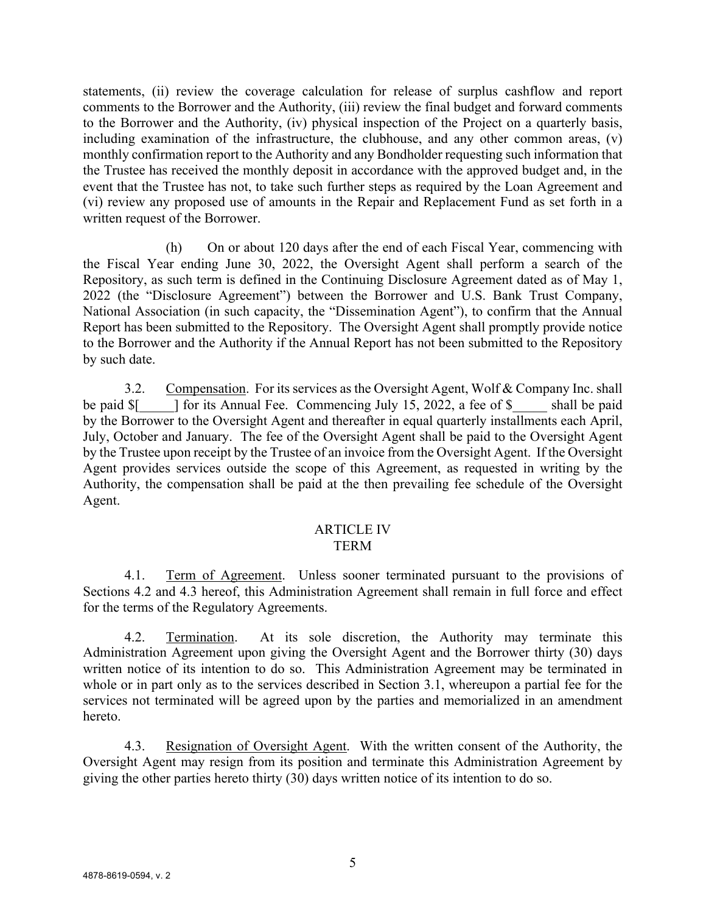statements, (ii) review the coverage calculation for release of surplus cashflow and report comments to the Borrower and the Authority, (iii) review the final budget and forward comments to the Borrower and the Authority, (iv) physical inspection of the Project on a quarterly basis, including examination of the infrastructure, the clubhouse, and any other common areas, (v) monthly confirmation report to the Authority and any Bondholder requesting such information that the Trustee has received the monthly deposit in accordance with the approved budget and, in the event that the Trustee has not, to take such further steps as required by the Loan Agreement and (vi) review any proposed use of amounts in the Repair and Replacement Fund as set forth in a written request of the Borrower.

(h) On or about 120 days after the end of each Fiscal Year, commencing with the Fiscal Year ending June 30, 2022, the Oversight Agent shall perform a search of the Repository, as such term is defined in the Continuing Disclosure Agreement dated as of May 1, 2022 (the "Disclosure Agreement") between the Borrower and U.S. Bank Trust Company, National Association (in such capacity, the "Dissemination Agent"), to confirm that the Annual Report has been submitted to the Repository. The Oversight Agent shall promptly provide notice to the Borrower and the Authority if the Annual Report has not been submitted to the Repository by such date.

3.2. Compensation. For its services as the Oversight Agent, Wolf & Company Inc. shall be paid  $\mathcal{S}$  [  $\Box$  ] for its Annual Fee. Commencing July 15, 2022, a fee of  $\mathcal{S}$  shall be paid by the Borrower to the Oversight Agent and thereafter in equal quarterly installments each April, July, October and January. The fee of the Oversight Agent shall be paid to the Oversight Agent by the Trustee upon receipt by the Trustee of an invoice from the Oversight Agent. If the Oversight Agent provides services outside the scope of this Agreement, as requested in writing by the Authority, the compensation shall be paid at the then prevailing fee schedule of the Oversight Agent.

#### ARTICLE IV TERM

4.1. Term of Agreement. Unless sooner terminated pursuant to the provisions of Sections 4.2 and 4.3 hereof, this Administration Agreement shall remain in full force and effect for the terms of the Regulatory Agreements.

4.2. Termination. At its sole discretion, the Authority may terminate this Administration Agreement upon giving the Oversight Agent and the Borrower thirty (30) days written notice of its intention to do so. This Administration Agreement may be terminated in whole or in part only as to the services described in Section 3.1, whereupon a partial fee for the services not terminated will be agreed upon by the parties and memorialized in an amendment hereto.

4.3. Resignation of Oversight Agent. With the written consent of the Authority, the Oversight Agent may resign from its position and terminate this Administration Agreement by giving the other parties hereto thirty (30) days written notice of its intention to do so.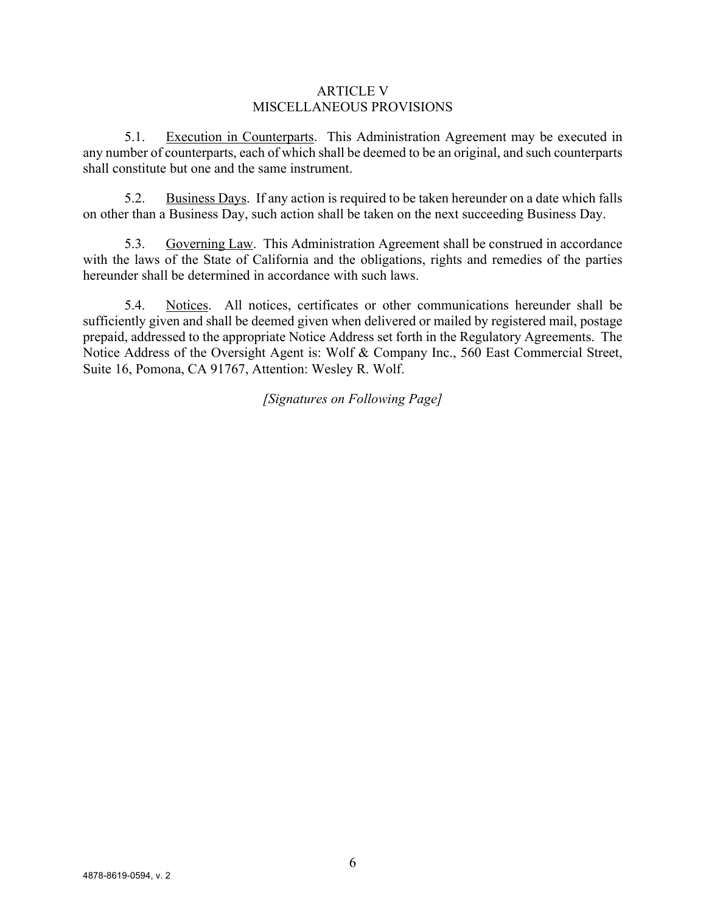### ARTICLE V MISCELLANEOUS PROVISIONS

5.1. Execution in Counterparts. This Administration Agreement may be executed in any number of counterparts, each of which shall be deemed to be an original, and such counterparts shall constitute but one and the same instrument.

5.2. Business Days. If any action is required to be taken hereunder on a date which falls on other than a Business Day, such action shall be taken on the next succeeding Business Day.

5.3. Governing Law. This Administration Agreement shall be construed in accordance with the laws of the State of California and the obligations, rights and remedies of the parties hereunder shall be determined in accordance with such laws.

5.4. Notices. All notices, certificates or other communications hereunder shall be sufficiently given and shall be deemed given when delivered or mailed by registered mail, postage prepaid, addressed to the appropriate Notice Address set forth in the Regulatory Agreements. The Notice Address of the Oversight Agent is: Wolf & Company Inc., 560 East Commercial Street, Suite 16, Pomona, CA 91767, Attention: Wesley R. Wolf.

*[Signatures on Following Page]*